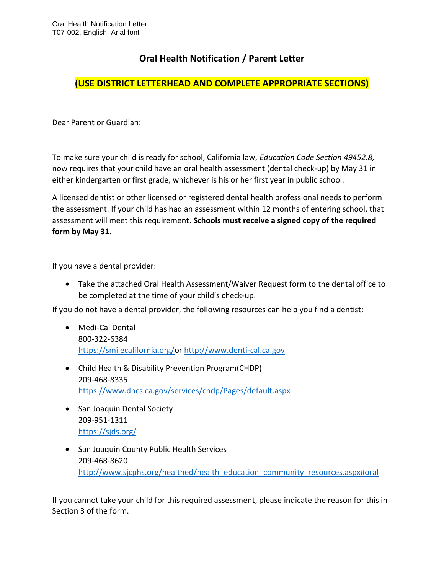## **Oral Health Notification / Parent Letter**

## **(USE DISTRICT LETTERHEAD AND COMPLETE APPROPRIATE SECTIONS)**

Dear Parent or Guardian:

To make sure your child is ready for school, California law, *Education Code Section 49452.8,* now requires that your child have an oral health assessment (dental check-up) by May 31 in either kindergarten or first grade, whichever is his or her first year in public school.

A licensed dentist or other licensed or registered dental health professional needs to perform the assessment. If your child has had an assessment within 12 months of entering school, that assessment will meet this requirement. **Schools must receive a signed copy of the required form by May 31.** 

If you have a dental provider:

 Take the attached Oral Health Assessment/Waiver Request form to the dental office to be completed at the time of your child's check-up.

If you do not have a dental provider, the following resources can help you find a dentist:

- Medi-Cal Dental 800-322-6384 [https://smilecalifornia.org/o](https://smilecalifornia.org/)r [http://www.denti-cal.ca.gov](http://www.denti-cal.ca.gov/)
- Child Health & Disability Prevention Program(CHDP) 209-468-8335 <https://www.dhcs.ca.gov/services/chdp/Pages/default.aspx>
- San Joaquin Dental Society 209-951-1311 <https://sjds.org/>
- San Joaquin County Public Health Services 209-468-8620 http://www.sjcphs.org/healthed/health\_education\_community\_resources.aspx#oral

If you cannot take your child for this required assessment, please indicate the reason for this in Section 3 of the form.